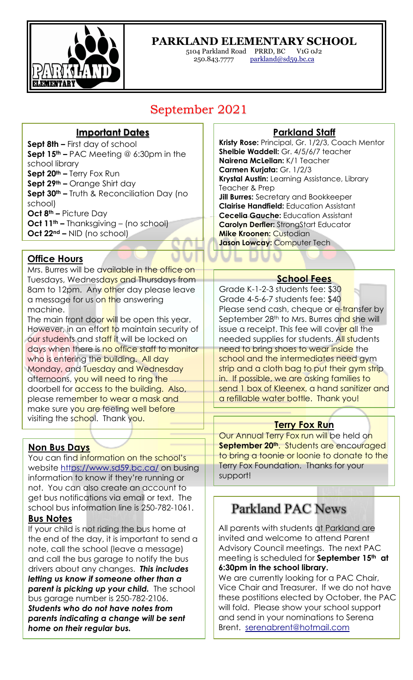

## **PARKLAND ELEMENTARY SCHOOL**

5104 Parkland Road PRRD, BC V1G 0J2<br>250.843.7777 <u>parkland@sd59.bc.ca</u> parkland@sd59.bc.ca

## September 2021

#### **Important Dates**

**Sept 8th –** First day of school **Sept 15th –** PAC Meeting @ 6:30pm in the school library **Sept 20th –** Terry Fox Run **Sept 29th –** Orange Shirt day **Sept 30th –** Truth & Reconciliation Day (no school) **Oct 8th –** Picture Day **Oct 11th –** Thanksgiving – (no school) **Oct 22nd –** NID (no school)

#### **Office Hours**

Mrs. Burres will be available in the office on Tuesdays, Wednesdays and Thursdays from 8am to 12pm. Any other day please leave a message for us on the answering machine.

The main front door will be open this year. However, in an effort to maintain security of our students and staff it will be locked on days when there is no office staff to monitor who is entering the building. All day Monday, and Tuesday and Wednesday afternoons, you will need to ring the doorbell for access to the building. Also, please remember to wear a mask and make sure you are feeling well before visiting the school. Thank you.

#### **Non Bus Days**

You can find information on the school's website https://www.sd59.bc.ca/ on busing information to know if they're running or not. You can also create an account to get bus notifications via email or text. The school bus information line is 250-782-1061.

#### **Bus Notes**

If your child is not riding the bus home at the end of the day, it is important to send a note, call the school (leave a message) and call the bus garage to notify the bus drivers about any changes. *This includes letting us know if someone other than a parent is picking up your child.* The school bus garage number is 250-782-2106.

*Students who do not have notes from parents indicating a change will be sent home on their regular bus.*

#### **Parkland Staff**

**Kristy Rose:** Principal, Gr. 1/2/3, Coach Mentor **Shelbie Waddell:** Gr. 4/5/6/7 teacher **Nairena McLellan:** K/1 Teacher **Carmen Kurjata:** Gr. 1/2/3 **Krystal Austin:** Learning Assistance, Library Teacher & Prep **Jill Burres:** Secretary and Bookkeeper **Clairise Handfield:** Education Assistant **Cecelia Gauche:** Education Assistant **Carolyn Derfler:** StrongStart Educator

**Mike Kroonen:** Custodian **Jason Lowcay:** Computer Tech

#### **School Fees**

Grade K-1-2-3 students fee: \$30 Grade 4-5-6-7 students fee: \$40 Please send cash, cheque or e-transfer by September 28<sup>th</sup> to Mrs. Burres and she will issue a receipt. This fee will cover all the needed supplies for students. All students need to bring shoes to wear inside the school and the intermediates need gym strip and a cloth bag to put their gym strip in. If possible, we are asking families to send 1 box of Kleenex, a hand sanitizer and a refillable water bottle. Thank you!

#### **Terry Fox Run**

Our Annual Terry Fox run will be held on September 20<sup>th</sup>. Students are encouraged to bring a toonie or loonie to donate to the Terry Fox Foundation. Thanks for your support!

# **Parkland PAC News**

All parents with students at Parkland are invited and welcome to attend Parent Advisory Council meetings. The next PAC meeting is scheduled for **September 15th at 6:30pm in the school library.**

We are currently looking for a PAC Chair, Vice Chair and Treasurer. If we do not have these postitions elected by October, the PAC will fold. Please show your school support and send in your nominations to Serena Brent. serenabrent@hotmail.com